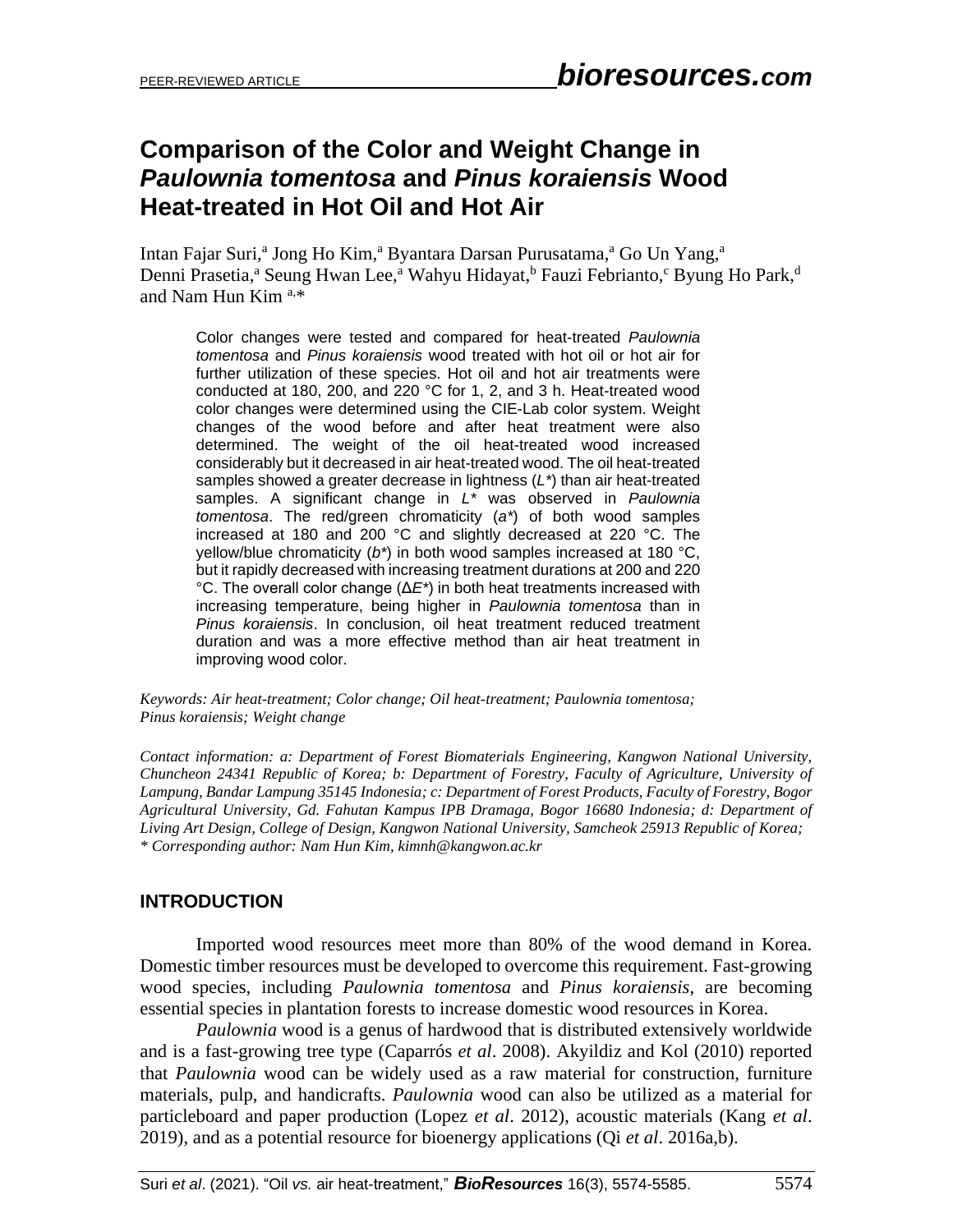# **Comparison of the Color and Weight Change in** *Paulownia tomentosa* **and** *Pinus koraiensis* **Wood Heat-treated in Hot Oil and Hot Air**

Intan Fajar Suri,<sup>a</sup> Jong Ho Kim,<sup>a</sup> Byantara Darsan Purusatama,<sup>a</sup> Go Un Yang,<sup>a</sup> Denni Prasetia,<sup>a</sup> Seung Hwan Lee,<sup>a</sup> Wahyu Hidayat,<sup>b</sup> Fauzi Febrianto,<sup>c</sup> Byung Ho Park,<sup>d</sup> and Nam Hun Kim a,\*

Color changes were tested and compared for heat-treated *Paulownia tomentosa* and *Pinus koraiensis* wood treated with hot oil or hot air for further utilization of these species. Hot oil and hot air treatments were conducted at 180, 200, and 220 °C for 1, 2, and 3 h. Heat-treated wood color changes were determined using the CIE-Lab color system. Weight changes of the wood before and after heat treatment were also determined. The weight of the oil heat-treated wood increased considerably but it decreased in air heat-treated wood. The oil heat-treated samples showed a greater decrease in lightness (*L\**) than air heat-treated samples. A significant change in *L\** was observed in *Paulownia tomentosa*. The red/green chromaticity (*a\**) of both wood samples increased at 180 and 200 °C and slightly decreased at 220 °C. The yellow/blue chromaticity (*b\**) in both wood samples increased at 180 °C, but it rapidly decreased with increasing treatment durations at 200 and 220 °C. The overall color change (Δ*E\**) in both heat treatments increased with increasing temperature, being higher in *Paulownia tomentosa* than in *Pinus koraiensis*. In conclusion, oil heat treatment reduced treatment duration and was a more effective method than air heat treatment in improving wood color.

*Keywords: Air heat-treatment; Color change; Oil heat-treatment; Paulownia tomentosa; Pinus koraiensis; Weight change*

*Contact information: a: Department of Forest Biomaterials Engineering, Kangwon National University, Chuncheon 24341 Republic of Korea; b: Department of Forestry, Faculty of Agriculture, University of Lampung, Bandar Lampung 35145 Indonesia; c: Department of Forest Products, Faculty of Forestry, Bogor Agricultural University, Gd. Fahutan Kampus IPB Dramaga, Bogor 16680 Indonesia; d: Department of Living Art Design, College of Design, Kangwon National University, Samcheok 25913 Republic of Korea; \* Corresponding author: Nam Hun Kim, [kimnh@kangwon.ac.kr](mailto:kimnh@kangwon.ac.kr)*

## **INTRODUCTION**

Imported wood resources meet more than 80% of the wood demand in Korea. Domestic timber resources must be developed to overcome this requirement. Fast-growing wood species, including *Paulownia tomentosa* and *Pinus koraiensis*, are becoming essential species in plantation forests to increase domestic wood resources in Korea.

*Paulownia* wood is a genus of hardwood that is distributed extensively worldwide and is a fast-growing tree type (Caparrós *et al*. 2008). Akyildiz and Kol (2010) reported that *Paulownia* wood can be widely used as a raw material for construction, furniture materials, pulp, and handicrafts. *Paulownia* wood can also be utilized as a material for particleboard and paper production (Lopez *et al*. 2012), acoustic materials (Kang *et al*. 2019), and as a potential resource for bioenergy applications (Qi *et al*. 2016a,b).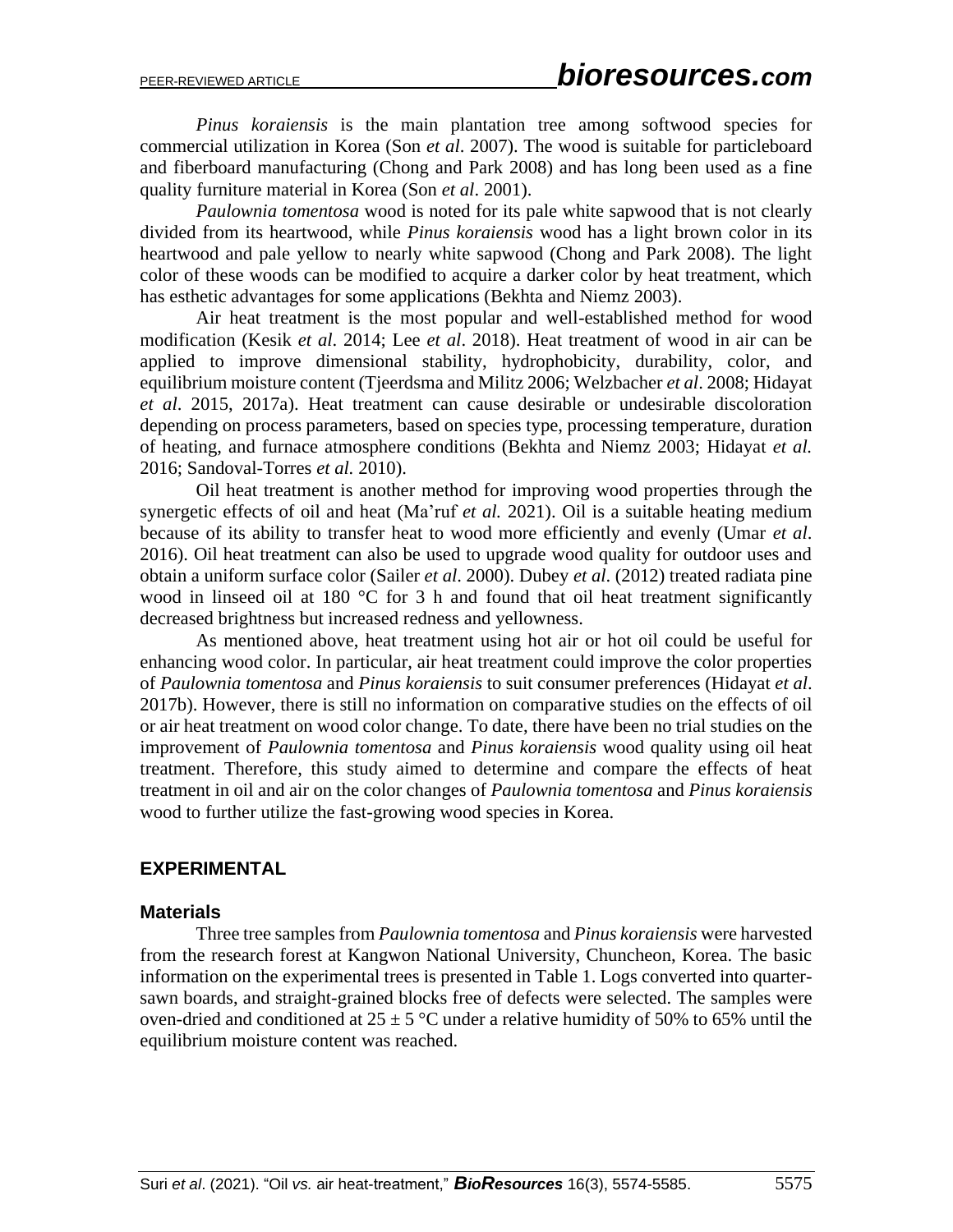*Pinus koraiensis* is the main plantation tree among softwood species for commercial utilization in Korea (Son *et al*. 2007). The wood is suitable for particleboard and fiberboard manufacturing (Chong and Park 2008) and has long been used as a fine quality furniture material in Korea (Son *et al*. 2001).

*Paulownia tomentosa* wood is noted for its pale white sapwood that is not clearly divided from its heartwood, while *Pinus koraiensis* wood has a light brown color in its heartwood and pale yellow to nearly white sapwood (Chong and Park 2008). The light color of these woods can be modified to acquire a darker color by heat treatment, which has esthetic advantages for some applications (Bekhta and Niemz 2003).

Air heat treatment is the most popular and well-established method for wood modification (Kesik *et al*. 2014; Lee *et al*. 2018). Heat treatment of wood in air can be applied to improve dimensional stability, hydrophobicity, durability, color, and equilibrium moisture content (Tjeerdsma and Militz 2006; Welzbacher *et al*. 2008; Hidayat *et al*. 2015, 2017a). Heat treatment can cause desirable or undesirable discoloration depending on process parameters, based on species type, processing temperature, duration of heating, and furnace atmosphere conditions (Bekhta and Niemz 2003; Hidayat *et al.*  2016; Sandoval-Torres *et al.* 2010).

Oil heat treatment is another method for improving wood properties through the synergetic effects of oil and heat (Ma'ruf *et al.* 2021). Oil is a suitable heating medium because of its ability to transfer heat to wood more efficiently and evenly (Umar *et al*. 2016). Oil heat treatment can also be used to upgrade wood quality for outdoor uses and obtain a uniform surface color (Sailer *et al*. 2000). Dubey *et al*. (2012) treated radiata pine wood in linseed oil at 180 °C for 3 h and found that oil heat treatment significantly decreased brightness but increased redness and yellowness.

As mentioned above, heat treatment using hot air or hot oil could be useful for enhancing wood color. In particular, air heat treatment could improve the color properties of *Paulownia tomentosa* and *Pinus koraiensis* to suit consumer preferences (Hidayat *et al*. 2017b). However, there is still no information on comparative studies on the effects of oil or air heat treatment on wood color change. To date, there have been no trial studies on the improvement of *Paulownia tomentosa* and *Pinus koraiensis* wood quality using oil heat treatment. Therefore, this study aimed to determine and compare the effects of heat treatment in oil and air on the color changes of *Paulownia tomentosa* and *Pinus koraiensis* wood to further utilize the fast-growing wood species in Korea.

#### **EXPERIMENTAL**

#### **Materials**

Three tree samples from *Paulownia tomentosa* and *Pinus koraiensis* were harvested from the research forest at Kangwon National University, Chuncheon, Korea. The basic information on the experimental trees is presented in Table 1. Logs converted into quartersawn boards, and straight-grained blocks free of defects were selected. The samples were oven-dried and conditioned at  $25 \pm 5$  °C under a relative humidity of 50% to 65% until the equilibrium moisture content was reached.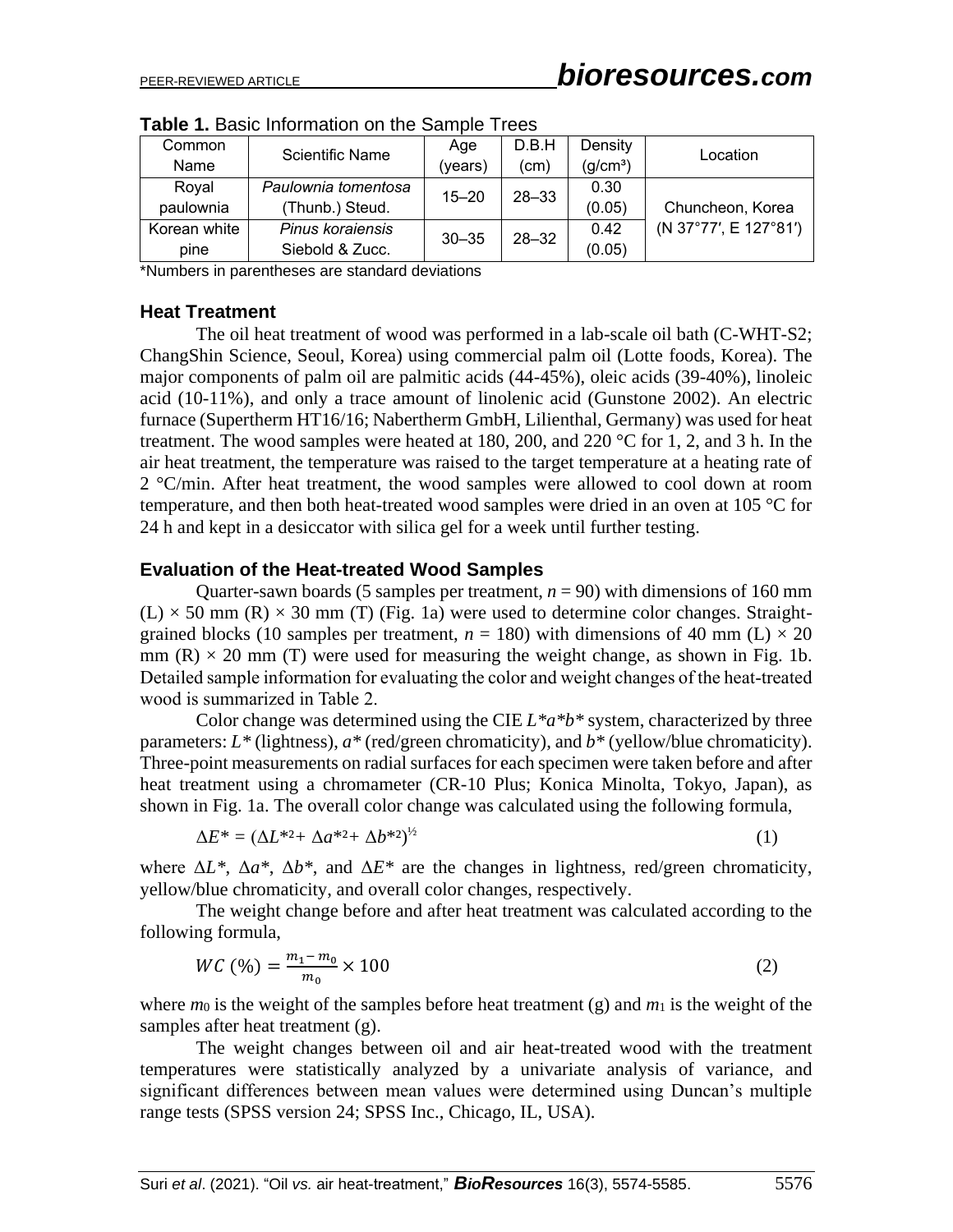| Common       | Scientific Name     | Age       | D.B.H     | Density              | Location              |  |  |
|--------------|---------------------|-----------|-----------|----------------------|-----------------------|--|--|
| Name         |                     | (years)   | (cm)      | (q/cm <sup>3</sup> ) |                       |  |  |
| Royal        | Paulownia tomentosa | $15 - 20$ | $28 - 33$ | 0.30                 |                       |  |  |
| paulownia    | (Thunb.) Steud.     |           |           | (0.05)               | Chuncheon, Korea      |  |  |
| Korean white | Pinus koraiensis    | $30 - 35$ | $28 - 32$ | 0.42                 | (N 37°77', E 127°81') |  |  |
| pine         | Siebold & Zucc.     |           |           | (0.05)               |                       |  |  |

**Table 1.** Basic Information on the Sample Trees

\*Numbers in parentheses are standard deviations

#### **Heat Treatment**

The oil heat treatment of wood was performed in a lab-scale oil bath (C-WHT-S2; ChangShin Science, Seoul, Korea) using commercial palm oil (Lotte foods, Korea). The major components of palm oil are palmitic acids (44-45%), oleic acids (39-40%), linoleic acid (10-11%), and only a trace amount of linolenic acid (Gunstone 2002). An electric furnace (Supertherm HT16/16; Nabertherm GmbH, Lilienthal, Germany) was used for heat treatment. The wood samples were heated at 180, 200, and 220  $\degree$ C for 1, 2, and 3 h. In the air heat treatment, the temperature was raised to the target temperature at a heating rate of 2 °C/min. After heat treatment, the wood samples were allowed to cool down at room temperature, and then both heat-treated wood samples were dried in an oven at 105 °C for 24 h and kept in a desiccator with silica gel for a week until further testing.

#### **Evaluation of the Heat-treated Wood Samples**

Quarter-sawn boards (5 samples per treatment,  $n = 90$ ) with dimensions of 160 mm  $(L) \times 50$  mm (R)  $\times$  30 mm (T) (Fig. 1a) were used to determine color changes. Straightgrained blocks (10 samples per treatment,  $n = 180$ ) with dimensions of 40 mm (L)  $\times$  20 mm  $(R) \times 20$  mm  $(T)$  were used for measuring the weight change, as shown in Fig. 1b. Detailed sample information for evaluating the color and weight changes of the heat-treated wood is summarized in Table 2.

Color change was determined using the CIE *L\*a\*b\** system, characterized by three parameters: *L\** (lightness), *a\** (red/green chromaticity), and *b\** (yellow/blue chromaticity). Three-point measurements on radial surfaces for each specimen were taken before and after heat treatment using a chromameter (CR-10 Plus; Konica Minolta, Tokyo, Japan), as shown in Fig. 1a. The overall color change was calculated using the following formula,

$$
\Delta E^* = (\Delta L^{*2} + \Delta a^{*2} + \Delta b^{*2})^{\frac{1}{2}}
$$
\n<sup>(1)</sup>

where  $\Delta L^*$ ,  $\Delta a^*$ ,  $\Delta b^*$ , and  $\Delta E^*$  are the changes in lightness, red/green chromaticity, yellow/blue chromaticity, and overall color changes, respectively.

The weight change before and after heat treatment was calculated according to the following formula,

$$
WC\left(\% \right) = \frac{m_1 - m_0}{m_0} \times 100\tag{2}
$$

where  $m_0$  is the weight of the samples before heat treatment (g) and  $m_1$  is the weight of the samples after heat treatment (g).

The weight changes between oil and air heat-treated wood with the treatment temperatures were statistically analyzed by a univariate analysis of variance, and significant differences between mean values were determined using Duncan's multiple range tests (SPSS version 24; SPSS Inc., Chicago, IL, USA).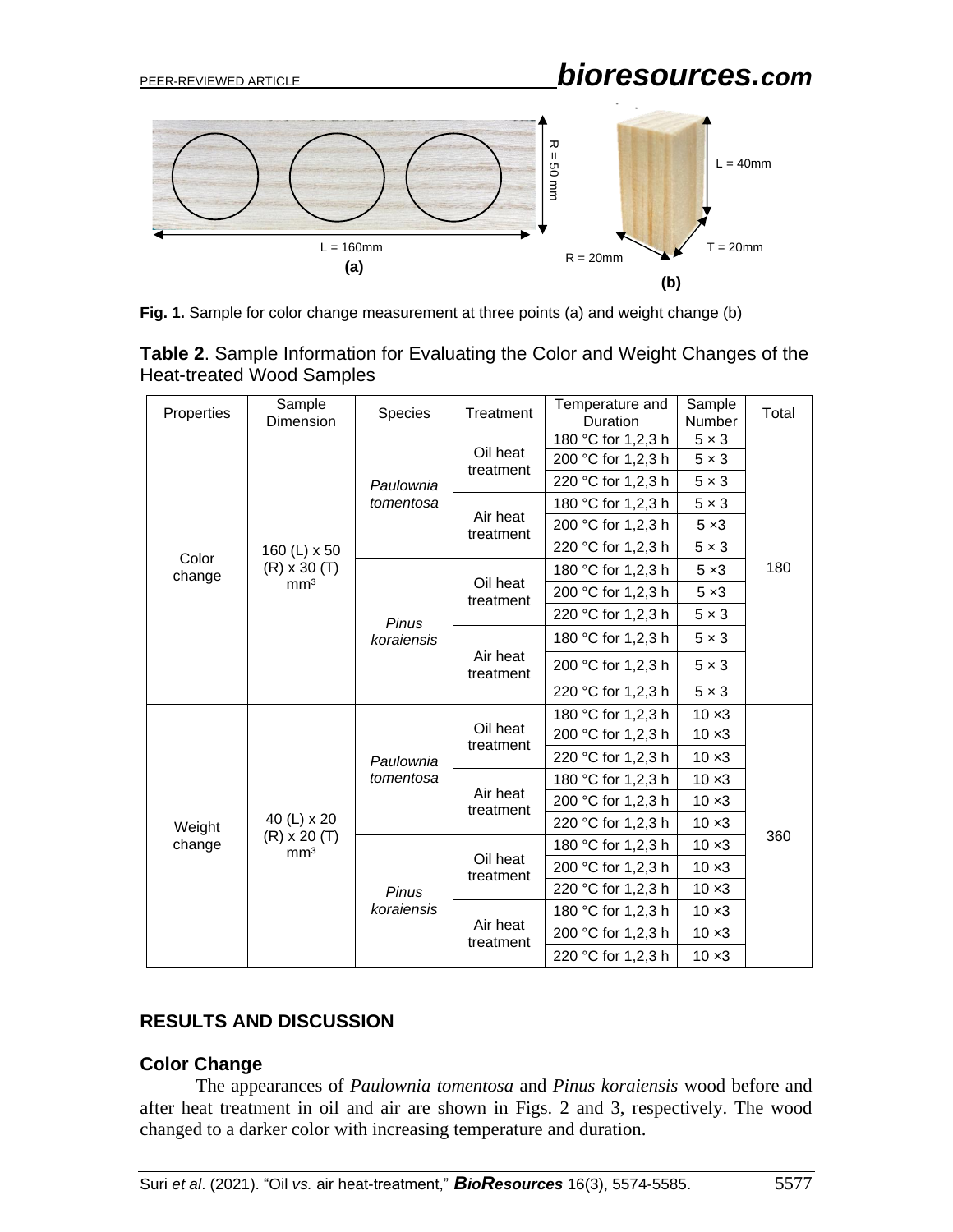

**Fig. 1.** Sample for color change measurement at three points (a) and weight change (b)

| Table 2. Sample Information for Evaluating the Color and Weight Changes of the |  |  |  |
|--------------------------------------------------------------------------------|--|--|--|
| Heat-treated Wood Samples                                                      |  |  |  |

| Properties       | Sample<br>Dimension                                    | Species                | Treatment             | Temperature and<br>Duration | Sample<br>Number | Total |
|------------------|--------------------------------------------------------|------------------------|-----------------------|-----------------------------|------------------|-------|
| Color<br>change  | 160 (L) x 50<br>$(R) \times 30$ (T)<br>mm <sup>3</sup> | Paulownia<br>tomentosa | Oil heat<br>treatment | 180 °C for 1,2,3 h          | $5 \times 3$     | 180   |
|                  |                                                        |                        |                       | 200 °C for 1,2,3 h          | $5 \times 3$     |       |
|                  |                                                        |                        |                       | 220 °C for 1,2,3 h          | $5 \times 3$     |       |
|                  |                                                        |                        | Air heat<br>treatment | 180 °C for 1,2,3 h          | $5 \times 3$     |       |
|                  |                                                        |                        |                       | 200 °C for 1,2,3 h          | $5 \times 3$     |       |
|                  |                                                        |                        |                       | 220 °C for 1,2,3 h          | $5 \times 3$     |       |
|                  |                                                        | Pinus<br>koraiensis    | Oil heat<br>treatment | 180 °C for 1,2,3 h          | $5 \times 3$     |       |
|                  |                                                        |                        |                       | 200 °C for 1,2,3 h          | $5 \times 3$     |       |
|                  |                                                        |                        |                       | 220 °C for 1,2,3 h          | $5 \times 3$     |       |
|                  |                                                        |                        | Air heat<br>treatment | 180 °C for 1,2,3 h          | $5 \times 3$     |       |
|                  |                                                        |                        |                       | 200 °C for 1,2,3 h          | $5 \times 3$     |       |
|                  |                                                        |                        |                       | 220 °C for 1,2,3 h          | $5 \times 3$     |       |
| Weight<br>change | 40 (L) x 20<br>$(R) \times 20$ (T)<br>mm <sup>3</sup>  | Paulownia<br>tomentosa | Oil heat<br>treatment | 180 °C for 1,2,3 h          | $10 \times 3$    | 360   |
|                  |                                                        |                        |                       | 200 °C for 1,2,3 h          | $10 \times 3$    |       |
|                  |                                                        |                        |                       | 220 °C for 1,2,3 h          | $10 \times 3$    |       |
|                  |                                                        |                        | Air heat<br>treatment | 180 °C for 1,2,3 h          | $10 \times 3$    |       |
|                  |                                                        |                        |                       | 200 °C for 1,2,3 h          | $10 \times 3$    |       |
|                  |                                                        |                        |                       | 220 °C for 1,2,3 h          | $10 \times 3$    |       |
|                  |                                                        | Pinus<br>koraiensis    | Oil heat<br>treatment | 180 °C for 1,2,3 h          | $10 \times 3$    |       |
|                  |                                                        |                        |                       | 200 °C for 1,2,3 h          | $10 \times 3$    |       |
|                  |                                                        |                        |                       | 220 °C for 1,2,3 h          | $10 \times 3$    |       |
|                  |                                                        |                        | Air heat<br>treatment | 180 °C for 1,2,3 h          | $10 \times 3$    |       |
|                  |                                                        |                        |                       | 200 °C for 1,2,3 h          | $10 \times 3$    |       |
|                  |                                                        |                        |                       | 220 °C for 1,2,3 h          | $10 \times 3$    |       |

## **RESULTS AND DISCUSSION**

## **Color Change**

The appearances of *Paulownia tomentosa* and *Pinus koraiensis* wood before and after heat treatment in oil and air are shown in Figs. 2 and 3, respectively. The wood changed to a darker color with increasing temperature and duration.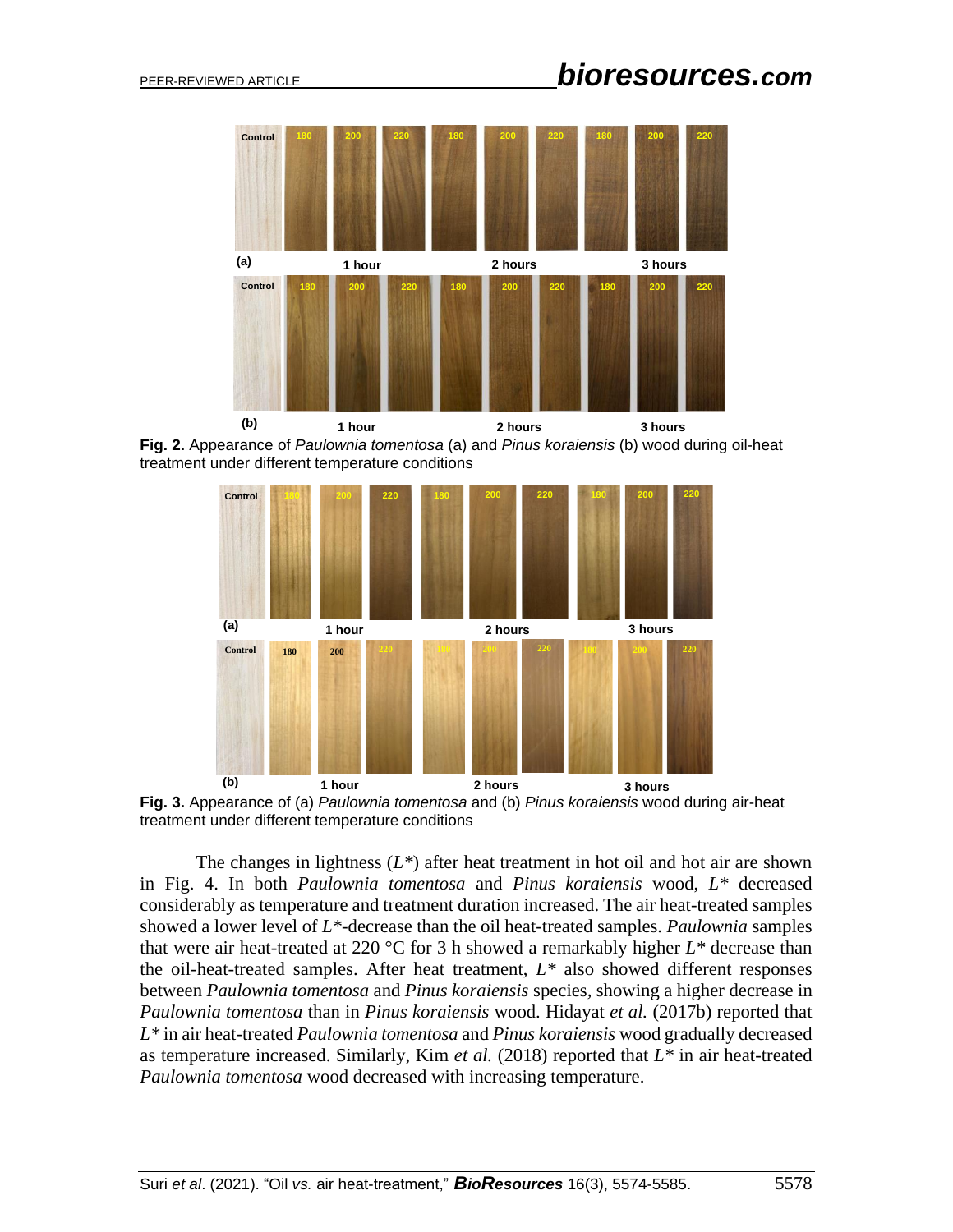

**Fig. 2.** Appearance of *Paulownia tomentosa* (a) and *Pinus koraiensis* (b) wood during oil-heat treatment under different temperature conditions



**Fig. 3.** Appearance of (a) *Paulownia tomentosa* and (b) *Pinus koraiensis* wood during air-heat treatment under different temperature conditions

The changes in lightness  $(L^*)$  after heat treatment in hot oil and hot air are shown in Fig. 4. In both *Paulownia tomentosa* and *Pinus koraiensis* wood, *L\** decreased considerably as temperature and treatment duration increased. The air heat-treated samples showed a lower level of *L\**-decrease than the oil heat-treated samples. *Paulownia* samples that were air heat-treated at 220 °C for 3 h showed a remarkably higher *L\** decrease than the oil-heat-treated samples. After heat treatment, *L\** also showed different responses between *Paulownia tomentosa* and *Pinus koraiensis* species*,* showing a higher decrease in *Paulownia tomentosa* than in *Pinus koraiensis* wood. Hidayat *et al.* (2017b) reported that *L\** in air heat-treated *Paulownia tomentosa* and *Pinus koraiensis* wood gradually decreased as temperature increased. Similarly, Kim *et al.* (2018) reported that  $L^*$  in air heat-treated *Paulownia tomentosa* wood decreased with increasing temperature.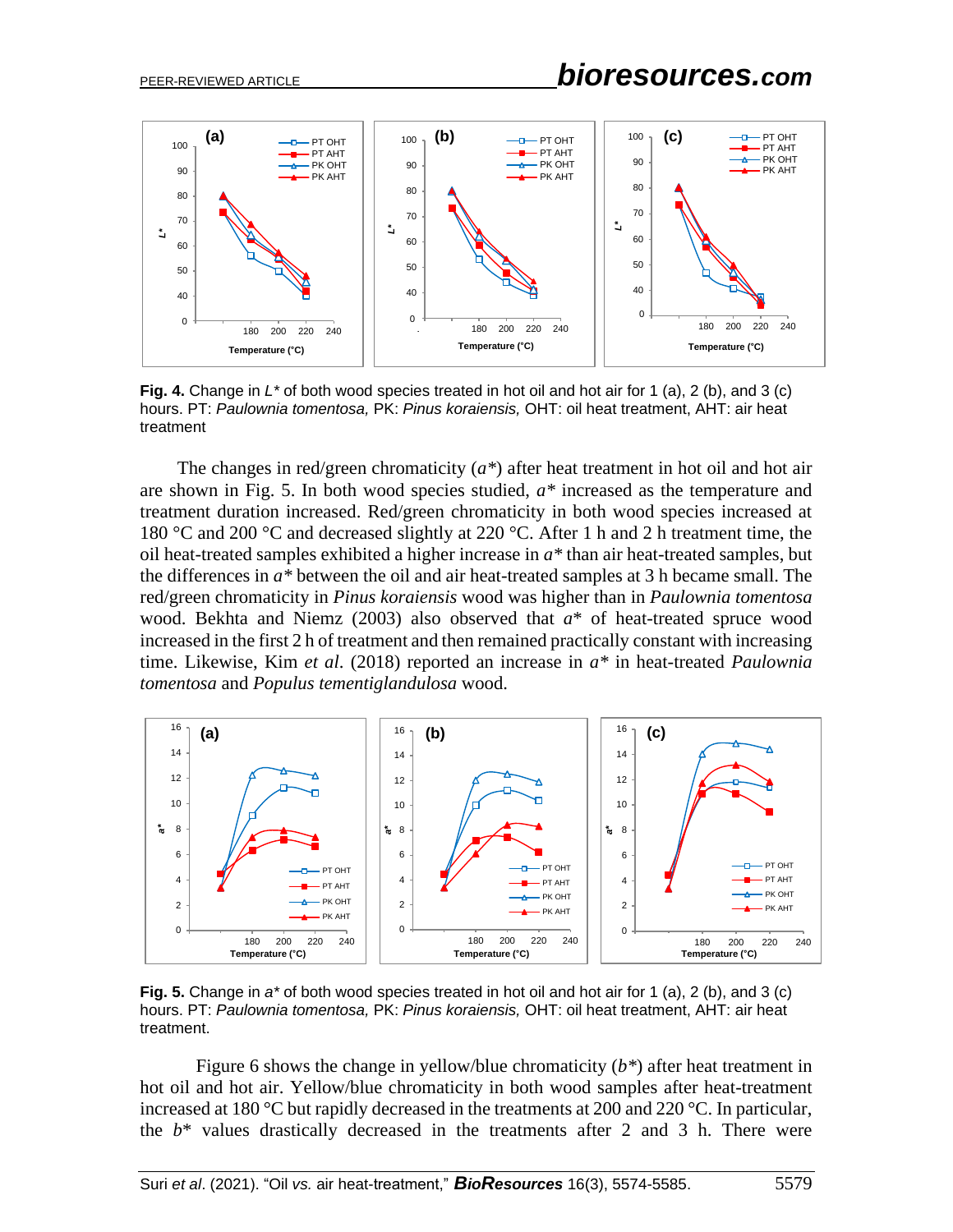

**Fig. 4.** Change in *L\** of both wood species treated in hot oil and hot air for 1 (a), 2 (b), and 3 (c) hours. PT: *Paulownia tomentosa,* PK: *Pinus koraiensis,* OHT: oil heat treatment, AHT: air heat treatment

The changes in red/green chromaticity (*a\**) after heat treatment in hot oil and hot air are shown in Fig. 5. In both wood species studied, *a\** increased as the temperature and treatment duration increased. Red/green chromaticity in both wood species increased at 180 °C and 200 °C and decreased slightly at 220 °C. After 1 h and 2 h treatment time, the oil heat-treated samples exhibited a higher increase in *a\** than air heat-treated samples, but the differences in *a\** between the oil and air heat-treated samples at 3 h became small. The red/green chromaticity in *Pinus koraiensis* wood was higher than in *Paulownia tomentosa*  wood. Bekhta and Niemz (2003) also observed that *a*\* of heat-treated spruce wood increased in the first 2 h of treatment and then remained practically constant with increasing time. Likewise, Kim *et al*. (2018) reported an increase in *a\** in heat-treated *Paulownia tomentosa* and *Populus tementiglandulosa* wood.



**Fig. 5.** Change in *a\** of both wood species treated in hot oil and hot air for 1 (a), 2 (b), and 3 (c) hours. PT: *Paulownia tomentosa,* PK: *Pinus koraiensis,* OHT: oil heat treatment, AHT: air heat treatment.

Figure 6 shows the change in yellow/blue chromaticity (*b\**) after heat treatment in hot oil and hot air. Yellow/blue chromaticity in both wood samples after heat-treatment increased at 180 °C but rapidly decreased in the treatments at 200 and 220 °C. In particular, the  $b^*$  values drastically decreased in the treatments after 2 and 3 h. There were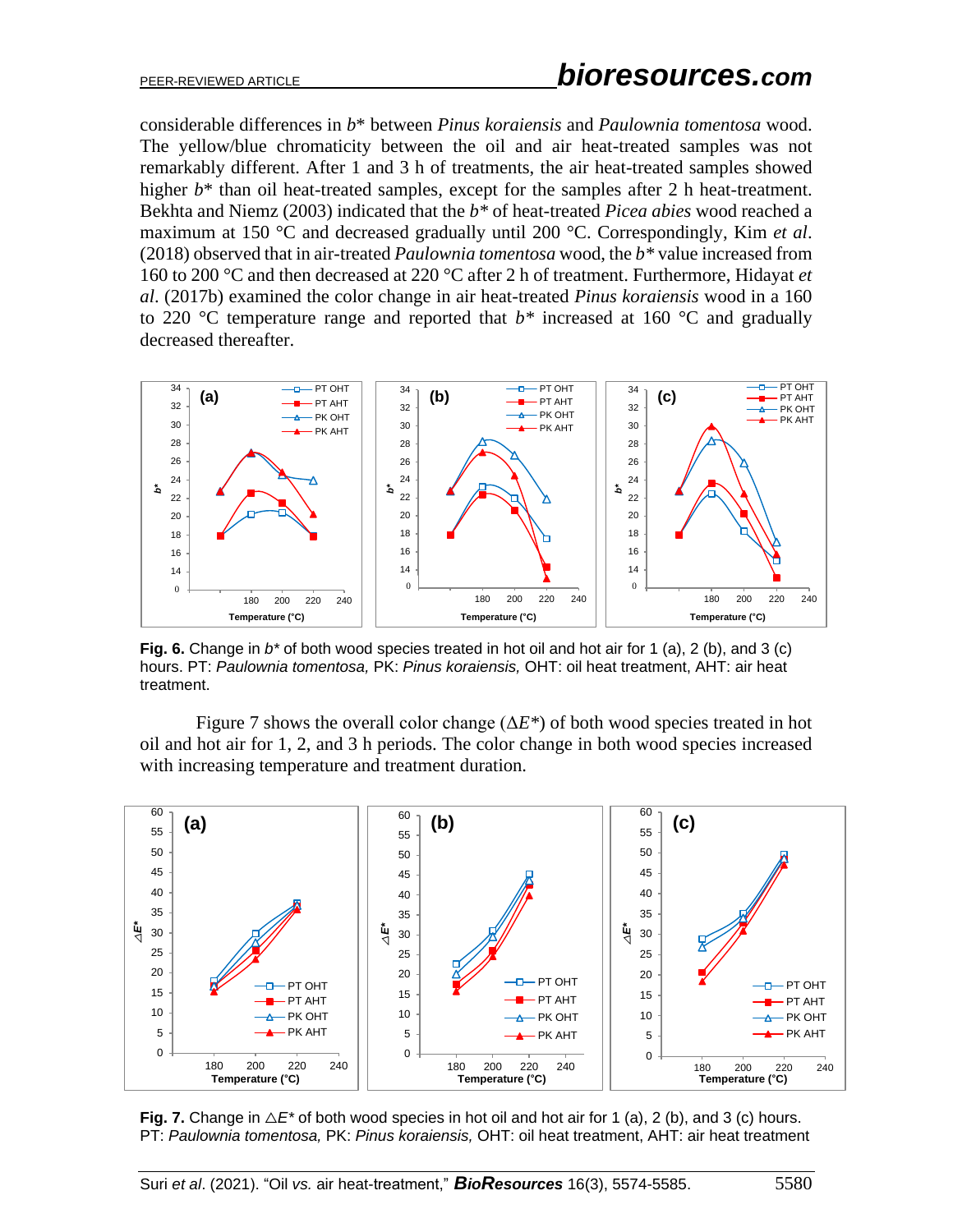considerable differences in *b*\* between *Pinus koraiensis* and *Paulownia tomentosa* wood. The yellow/blue chromaticity between the oil and air heat-treated samples was not remarkably different. After 1 and 3 h of treatments, the air heat-treated samples showed higher  $b^*$  than oil heat-treated samples, except for the samples after 2 h heat-treatment. Bekhta and Niemz (2003) indicated that the *b\** of heat-treated *Picea abies* wood reached a maximum at 150 °C and decreased gradually until 200 °C. Correspondingly, Kim *et al*. (2018) observed that in air-treated *Paulownia tomentosa* wood, the *b\** value increased from 160 to 200 °C and then decreased at 220 °C after 2 h of treatment. Furthermore, Hidayat *et al*. (2017b) examined the color change in air heat-treated *Pinus koraiensis* wood in a 160 to 220  $\degree$ C temperature range and reported that  $b^*$  increased at 160  $\degree$ C and gradually decreased thereafter.



**Fig. 6.** Change in *b\** of both wood species treated in hot oil and hot air for 1 (a), 2 (b), and 3 (c) hours. PT: *Paulownia tomentosa,* PK: *Pinus koraiensis,* OHT: oil heat treatment, AHT: air heat treatment.

Figure 7 shows the overall color change (Δ*E\**) of both wood species treated in hot oil and hot air for 1, 2, and 3 h periods. The color change in both wood species increased with increasing temperature and treatment duration.



**Fig. 7.** Change in  $\Delta E^*$  of both wood species in hot oil and hot air for 1 (a), 2 (b), and 3 (c) hours. PT: *Paulownia tomentosa,* PK: *Pinus koraiensis,* OHT: oil heat treatment, AHT: air heat treatment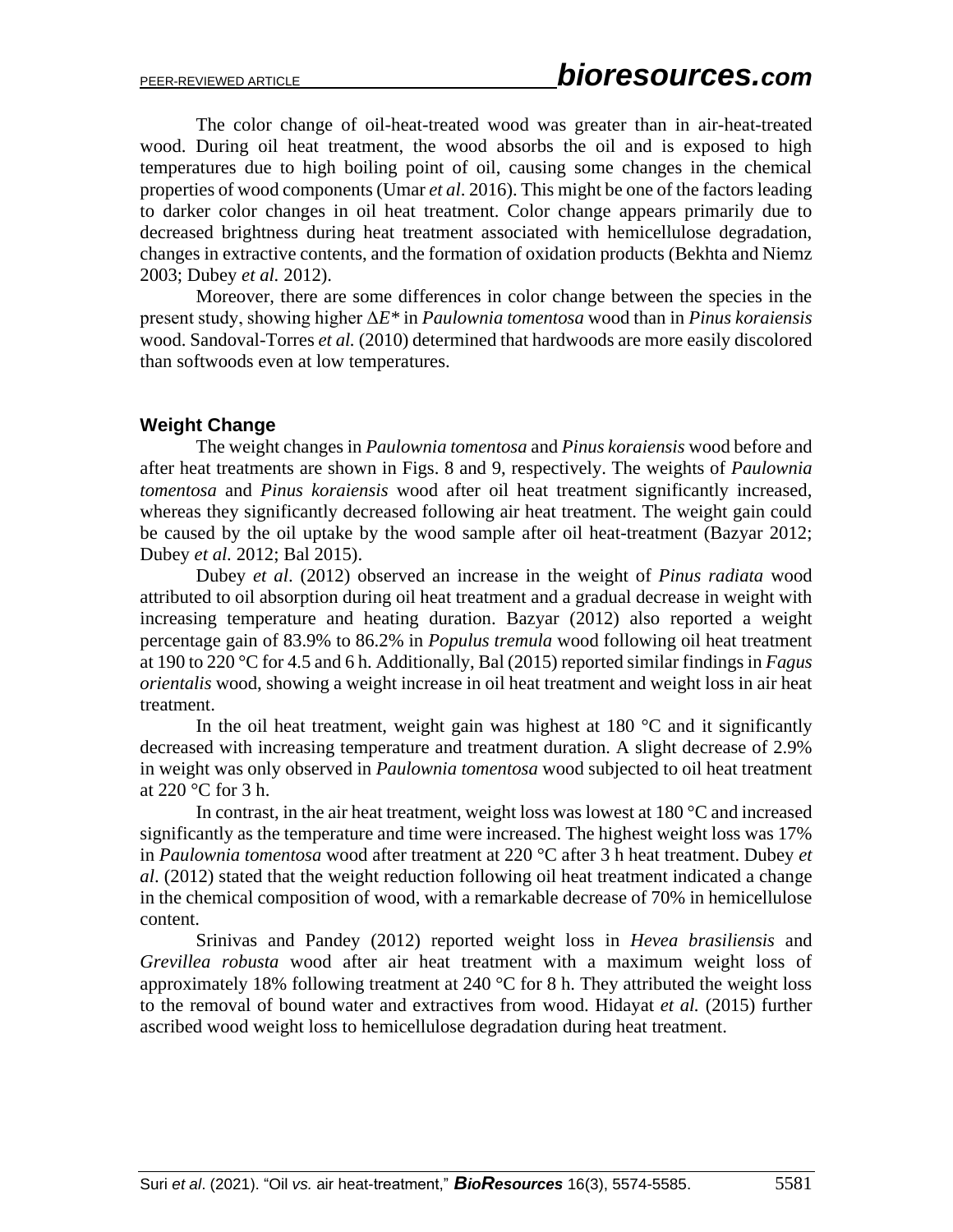The color change of oil-heat-treated wood was greater than in air-heat-treated wood. During oil heat treatment, the wood absorbs the oil and is exposed to high temperatures due to high boiling point of oil, causing some changes in the chemical properties of wood components (Umar *et al*. 2016). This might be one of the factors leading to darker color changes in oil heat treatment. Color change appears primarily due to decreased brightness during heat treatment associated with hemicellulose degradation, changes in extractive contents, and the formation of oxidation products (Bekhta and Niemz 2003; Dubey *et al.* 2012).

Moreover, there are some differences in color change between the species in the present study, showing higher Δ*E\** in *Paulownia tomentosa* wood than in *Pinus koraiensis* wood. Sandoval-Torres *et al.* (2010) determined that hardwoods are more easily discolored than softwoods even at low temperatures.

## **Weight Change**

The weight changes in *Paulownia tomentosa* and *Pinus koraiensis* wood before and after heat treatments are shown in Figs. 8 and 9, respectively. The weights of *Paulownia tomentosa* and *Pinus koraiensis* wood after oil heat treatment significantly increased, whereas they significantly decreased following air heat treatment. The weight gain could be caused by the oil uptake by the wood sample after oil heat-treatment (Bazyar 2012; Dubey *et al.* 2012; Bal 2015).

Dubey *et al*. (2012) observed an increase in the weight of *Pinus radiata* wood attributed to oil absorption during oil heat treatment and a gradual decrease in weight with increasing temperature and heating duration. Bazyar (2012) also reported a weight percentage gain of 83.9% to 86.2% in *Populus tremula* wood following oil heat treatment at 190 to 220 °C for 4.5 and 6 h. Additionally, Bal (2015) reported similar findings in *Fagus orientalis* wood, showing a weight increase in oil heat treatment and weight loss in air heat treatment.

In the oil heat treatment, weight gain was highest at  $180^{\circ}$ C and it significantly decreased with increasing temperature and treatment duration. A slight decrease of 2.9% in weight was only observed in *Paulownia tomentosa* wood subjected to oil heat treatment at 220 °C for 3 h.

In contrast, in the air heat treatment, weight loss was lowest at 180 °C and increased significantly as the temperature and time were increased. The highest weight loss was 17% in *Paulownia tomentosa* wood after treatment at 220 °C after 3 h heat treatment. Dubey *et al*. (2012) stated that the weight reduction following oil heat treatment indicated a change in the chemical composition of wood, with a remarkable decrease of 70% in hemicellulose content.

Srinivas and Pandey (2012) reported weight loss in *Hevea brasiliensis* and *Grevillea robusta* wood after air heat treatment with a maximum weight loss of approximately 18% following treatment at 240  $\degree$ C for 8 h. They attributed the weight loss to the removal of bound water and extractives from wood. Hidayat *et al.* (2015) further ascribed wood weight loss to hemicellulose degradation during heat treatment.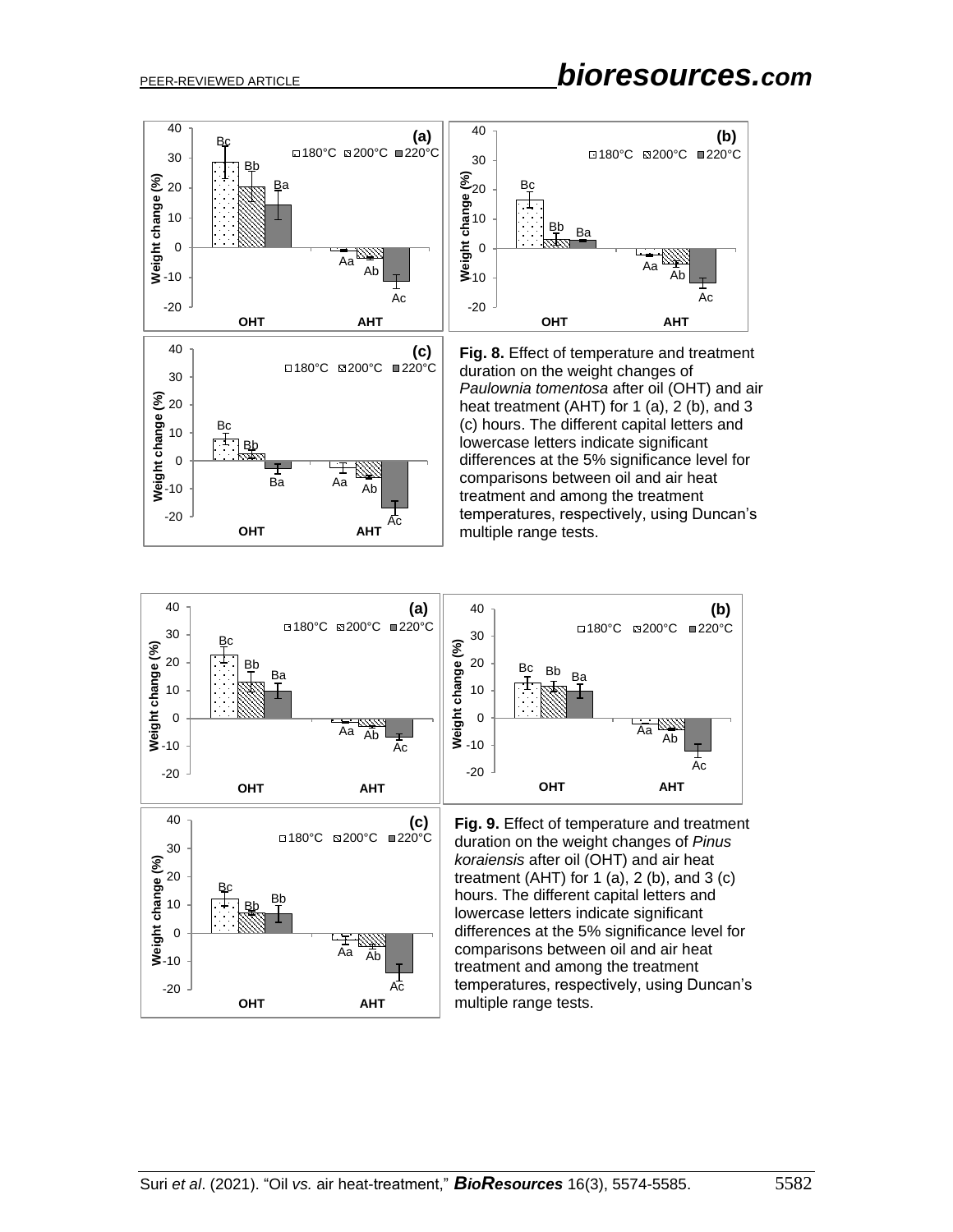-20

**OHT AHT**

Ba Aa Ab

 $\mathord{\text{--}}$ 

Ac

0 10

**Bb** 

 $E_{\pm}$ 



*Paulownia tomentosa* after oil (OHT) and air heat treatment (AHT) for 1 (a), 2 (b), and 3 (c) hours. The different capital letters and lowercase letters indicate significant differences at the 5% significance level for comparisons between oil and air heat treatment and among the treatment temperatures, respectively, using Duncan's multiple range tests.

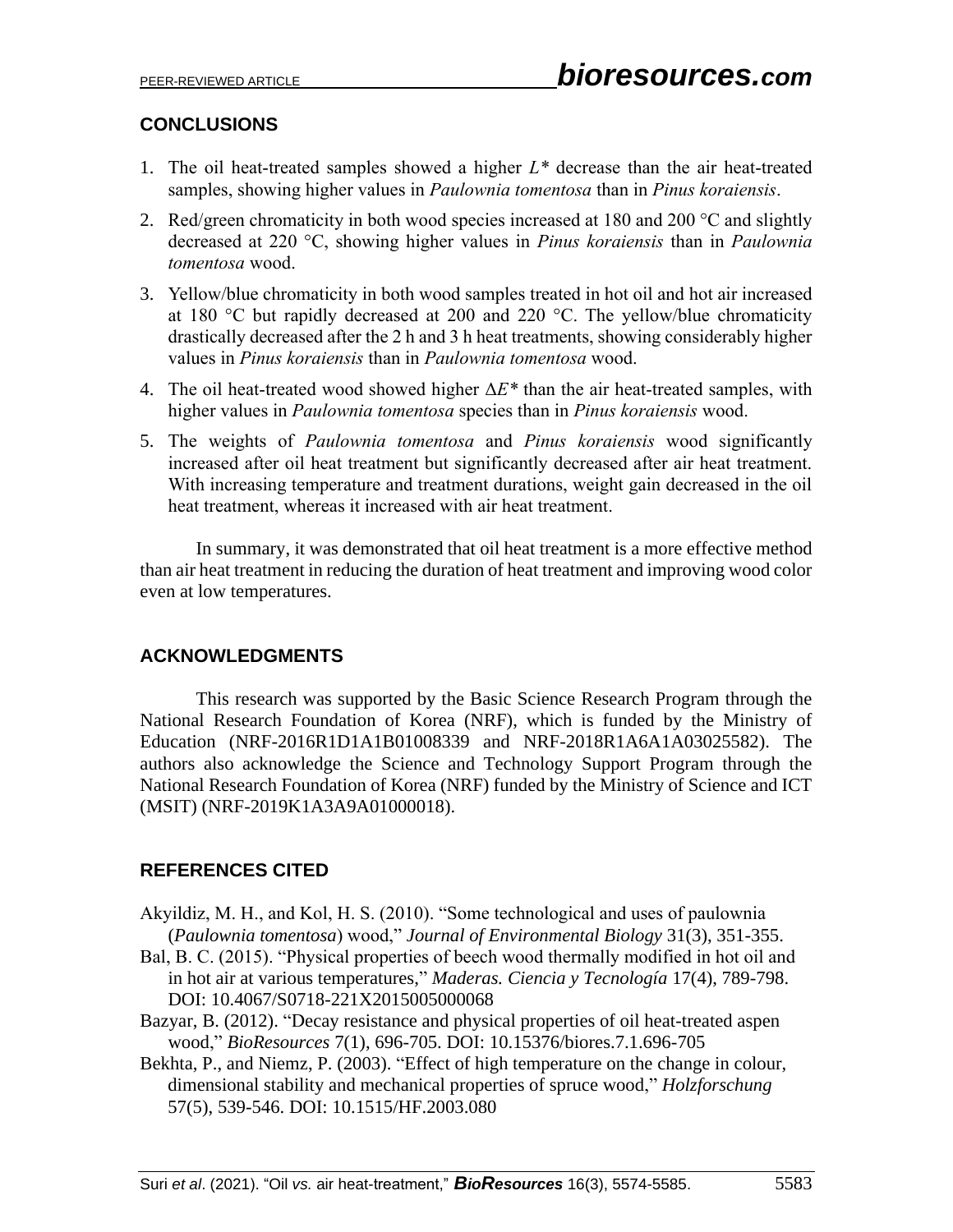# **CONCLUSIONS**

- 1. The oil heat-treated samples showed a higher *L\** decrease than the air heat-treated samples, showing higher values in *Paulownia tomentosa* than in *Pinus koraiensis*.
- 2. Red/green chromaticity in both wood species increased at  $180$  and  $200$  °C and slightly decreased at 220 °C, showing higher values in *Pinus koraiensis* than in *Paulownia tomentosa* wood.
- 3. Yellow/blue chromaticity in both wood samples treated in hot oil and hot air increased at 180 °C but rapidly decreased at 200 and 220 °C. The yellow/blue chromaticity drastically decreased after the 2 h and 3 h heat treatments, showing considerably higher values in *Pinus koraiensis* than in *Paulownia tomentosa* wood.
- 4. The oil heat-treated wood showed higher Δ*E\** than the air heat-treated samples, with higher values in *Paulownia tomentosa* species than in *Pinus koraiensis* wood.
- 5. The weights of *Paulownia tomentosa* and *Pinus koraiensis* wood significantly increased after oil heat treatment but significantly decreased after air heat treatment. With increasing temperature and treatment durations, weight gain decreased in the oil heat treatment, whereas it increased with air heat treatment.

In summary, it was demonstrated that oil heat treatment is a more effective method than air heat treatment in reducing the duration of heat treatment and improving wood color even at low temperatures.

# **ACKNOWLEDGMENTS**

This research was supported by the Basic Science Research Program through the National Research Foundation of Korea (NRF), which is funded by the Ministry of Education (NRF-2016R1D1A1B01008339 and NRF-2018R1A6A1A03025582). The authors also acknowledge the Science and Technology Support Program through the National Research Foundation of Korea (NRF) funded by the Ministry of Science and ICT (MSIT) (NRF-2019K1A3A9A01000018).

# **REFERENCES CITED**

- Akyildiz, M. H., and Kol, H. S. (2010). "Some technological and uses of paulownia (*Paulownia tomentosa*) wood," *Journal of Environmental Biology* 31(3), 351-355.
- Bal, B. C. (2015). "Physical properties of beech wood thermally modified in hot oil and in hot air at various temperatures," *Maderas. Ciencia y Tecnología* 17(4), 789-798. [DOI: 10.4067/S0718-221X2015005000068](http://dx.doi.org/10.4067/S0718-221X2015005000068)
- Bazyar, B. (2012). "Decay resistance and physical properties of oil heat-treated aspen wood," *BioResources* 7(1), 696-705. DOI: 10.15376/biores.7.1.696-705
- Bekhta, P., and Niemz, P. (2003). "Effect of high temperature on the change in colour, dimensional stability and mechanical properties of spruce wood," *Holzforschung*  57(5), 539-546. [DOI: 10.1515/HF.2003.080](https://doi.org/10.1515/HF.2003.080)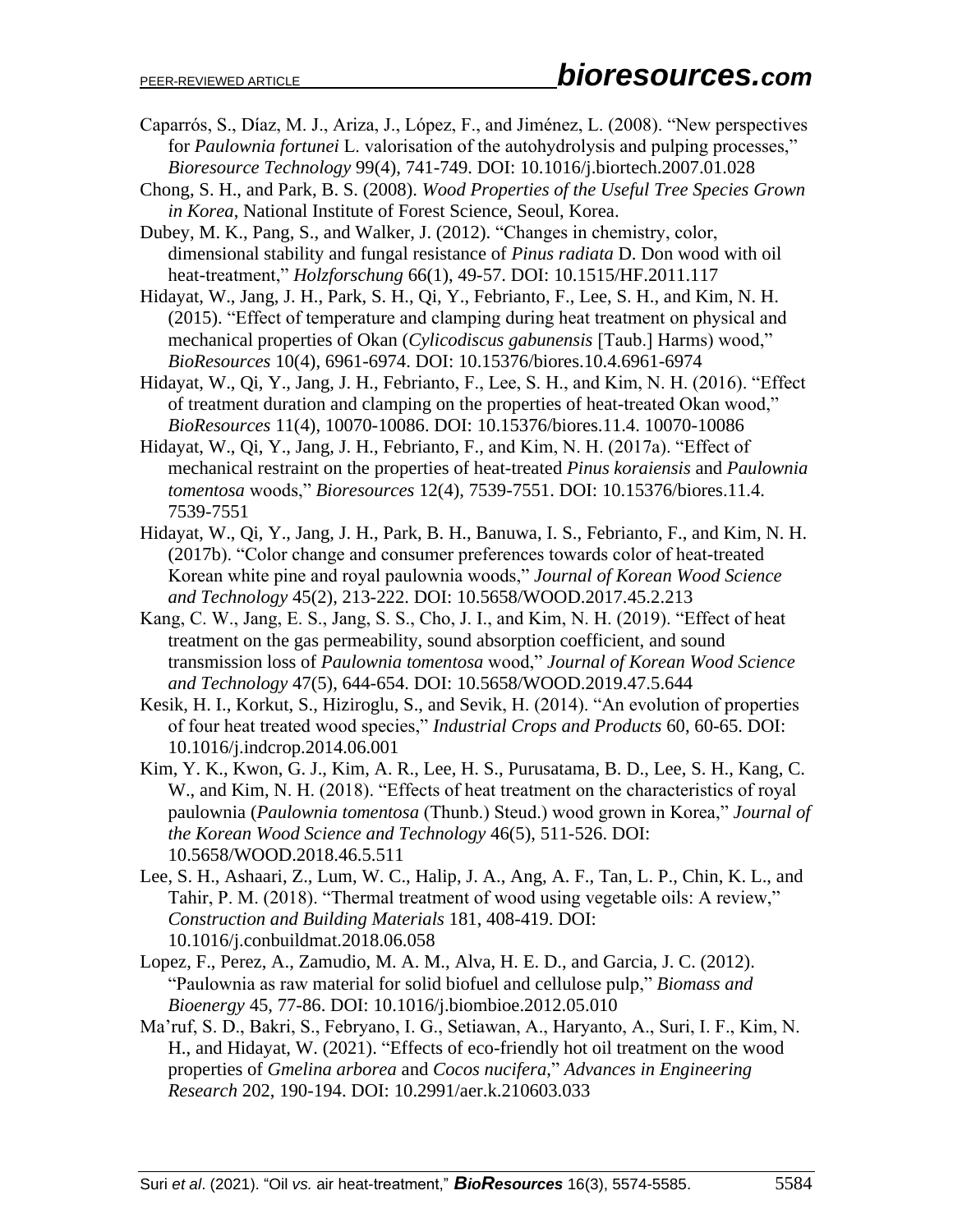- Caparrós, S., Díaz, M. J., Ariza, J., López, F., and Jiménez, L. (2008). "New perspectives for *Paulownia fortunei* L. valorisation of the autohydrolysis and pulping processes," *Bioresource Technology* 99(4), 741-749. [DOI: 10.1016/j.biortech.2007.01.028](https://doi.org/10.1016/j.biortech.2007.01.028)
- Chong, S. H., and Park, B. S. (2008). *Wood Properties of the Useful Tree Species Grown in Korea*, National Institute of Forest Science, Seoul, Korea.
- Dubey, M. K., Pang, S., and Walker, J. (2012). "Changes in chemistry, color, dimensional stability and fungal resistance of *Pinus radiata* D. Don wood with oil heat-treatment," *Holzforschung* 66(1), 49-57. [DOI: 10.1515/HF.2011.117](https://doi.org/10.1515/HF.2011.117)
- Hidayat, W., Jang, J. H., Park, S. H., Qi, Y., Febrianto, F., Lee, S. H., and Kim, N. H. (2015). "Effect of temperature and clamping during heat treatment on physical and mechanical properties of Okan (*Cylicodiscus gabunensis* [Taub.] Harms) wood," *BioResources* 10(4), 6961-6974. DOI: 10.15376/biores.10.4.6961-6974
- Hidayat, W., Qi, Y., Jang, J. H., Febrianto, F., Lee, S. H., and Kim, N. H. (2016). "Effect of treatment duration and clamping on the properties of heat-treated Okan wood," *BioResources* 11(4), 10070-10086. DOI: 10.15376/biores.11.4. 10070-10086
- Hidayat, W., Qi, Y., Jang, J. H., Febrianto, F., and Kim, N. H. (2017a). "Effect of mechanical restraint on the properties of heat-treated *Pinus koraiensis* and *Paulownia tomentosa* woods," *Bioresources* 12(4), 7539-7551. DOI: 10.15376/biores.11.4. 7539-7551
- Hidayat, W., Qi, Y., Jang, J. H., Park, B. H., Banuwa, I. S., Febrianto, F., and Kim, N. H. (2017b). "Color change and consumer preferences towards color of heat-treated Korean white pine and royal paulownia woods," *Journal of Korean Wood Science and Technology* 45(2), 213-222. DOI: 10.5658/WOOD.2017.45.2.213
- Kang, C. W., Jang, E. S., Jang, S. S., Cho, J. I., and Kim, N. H. (2019). "Effect of heat treatment on the gas permeability, sound absorption coefficient, and sound transmission loss of *Paulownia tomentosa* wood," *Journal of Korean Wood Science and Technology* 47(5), 644-654. [DOI: 10.5658/WOOD.2019.47.5.644](https://doi.org/10.5658/WOOD.2019.47.5.644)
- Kesik, H. I., Korkut, S., Hiziroglu, S., and Sevik, H. (2014). "An evolution of properties of four heat treated wood species," *Industrial Crops and Products* 60, 60-65. DOI: 10.1016/j.indcrop.2014.06.001
- Kim, Y. K., Kwon, G. J., Kim, A. R., Lee, H. S., Purusatama, B. D., Lee, S. H., Kang, C. W., and Kim, N. H. (2018). "Effects of heat treatment on the characteristics of royal paulownia (*Paulownia tomentosa* (Thunb.) Steud.) wood grown in Korea," *Journal of the Korean Wood Science and Technology* 46(5), 511-526. [DOI:](https://doi.org/10.5658/WOOD.2018.46.5.511)  [10.5658/WOOD.2018.46.5.511](https://doi.org/10.5658/WOOD.2018.46.5.511)
- Lee, S. H., Ashaari, Z., Lum, W. C., Halip, J. A., Ang, A. F., Tan, L. P., Chin, K. L., and Tahir, P. M. (2018). "Thermal treatment of wood using vegetable oils: A review," *Construction and Building Materials* 181, 408-419. [DOI:](https://doi.org/10.1016/j.conbuildmat.2018.06.058)  [10.1016/j.conbuildmat.2018.06.058](https://doi.org/10.1016/j.conbuildmat.2018.06.058)
- Lopez, F., Perez, A., Zamudio, M. A. M., Alva, H. E. D., and Garcia, J. C. (2012). "Paulownia as raw material for solid biofuel and cellulose pulp," *Biomass and Bioenergy* 45, 77-86. [DOI: 10.1016/j.biombioe.2012.05.010](https://doi.org/10.1016/j.biombioe.2012.05.010)
- Ma'ruf, S. D., Bakri, S., Febryano, I. G., Setiawan, A., Haryanto, A., Suri, I. F., Kim, N. H., and Hidayat, W. (2021). "Effects of eco-friendly hot oil treatment on the wood properties of *Gmelina arborea* and *Cocos nucifera*," *Advances in Engineering Research* 202, 190-194. DOI: [10.2991/aer.k.210603.033](https://doi.org/10.2991/aer.k.210603.033)